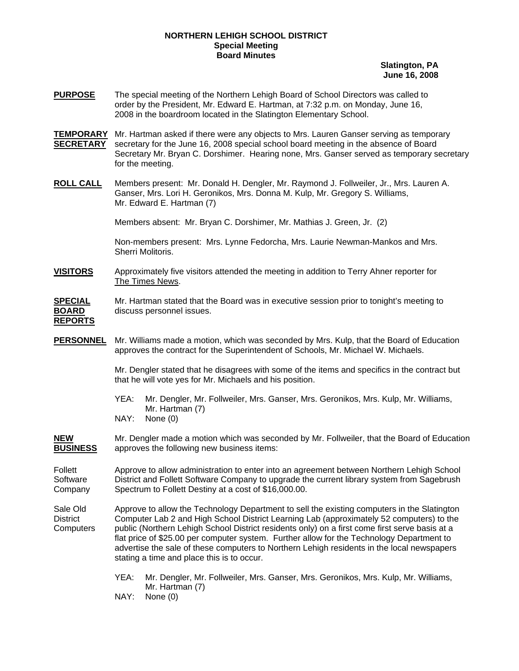## **NORTHERN LEHIGH SCHOOL DISTRICT Special Meeting Board Minutes**

**Slatington, PA June 16, 2008**

- **PURPOSE** The special meeting of the Northern Lehigh Board of School Directors was called to order by the President, Mr. Edward E. Hartman, at 7:32 p.m. on Monday, June 16, 2008 in the boardroom located in the Slatington Elementary School.
- **TEMPORARY** Mr. Hartman asked if there were any objects to Mrs. Lauren Ganser serving as temporary **SECRETARY** secretary for the June 16, 2008 special school board meeting in the absence of Board Secretary Mr. Bryan C. Dorshimer. Hearing none, Mrs. Ganser served as temporary secretary for the meeting.
- **ROLL CALL** Members present: Mr. Donald H. Dengler, Mr. Raymond J. Follweiler, Jr., Mrs. Lauren A. Ganser, Mrs. Lori H. Geronikos, Mrs. Donna M. Kulp, Mr. Gregory S. Williams, Mr. Edward E. Hartman (7)

Members absent: Mr. Bryan C. Dorshimer, Mr. Mathias J. Green, Jr. (2)

Non-members present: Mrs. Lynne Fedorcha, Mrs. Laurie Newman-Mankos and Mrs. Sherri Molitoris.

**VISITORS** Approximately five visitors attended the meeting in addition to Terry Ahner reporter for The Times News.

**SPECIAL** Mr. Hartman stated that the Board was in executive session prior to tonight's meeting to **BOARD** discuss personnel issues. **REPORTS**

**PERSONNEL** Mr. Williams made a motion, which was seconded by Mrs. Kulp, that the Board of Education approves the contract for the Superintendent of Schools, Mr. Michael W. Michaels.

> Mr. Dengler stated that he disagrees with some of the items and specifics in the contract but that he will vote yes for Mr. Michaels and his position.

- YEA: Mr. Dengler, Mr. Follweiler, Mrs. Ganser, Mrs. Geronikos, Mrs. Kulp, Mr. Williams, Mr. Hartman (7)
- NAY: None (0)

**NEW** Mr. Dengler made a motion which was seconded by Mr. Follweiler, that the Board of Education approves the following new business items:

Follett **Approve to allow administration to enter into an agreement between Northern Lehigh School** Software District and Follett Software Company to upgrade the current library system from Sagebrush Company Spectrum to Follett Destiny at a cost of \$16,000.00.

Sale Old Approve to allow the Technology Department to sell the existing computers in the Slatington District Computer Lab 2 and High School District Learning Lab (approximately 52 computers) to the Computers public (Northern Lehigh School District residents only) on a first come first serve basis at a flat price of \$25.00 per computer system. Further allow for the Technology Department to advertise the sale of these computers to Northern Lehigh residents in the local newspapers stating a time and place this is to occur.

> YEA: Mr. Dengler, Mr. Follweiler, Mrs. Ganser, Mrs. Geronikos, Mrs. Kulp, Mr. Williams, Mr. Hartman (7)

NAY: None (0)